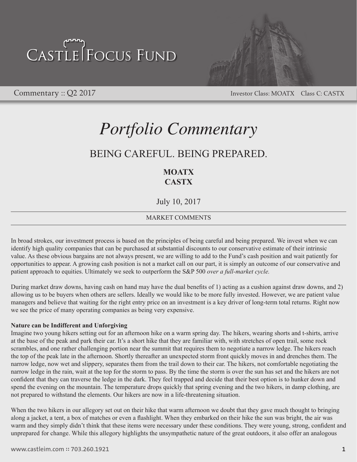

Commentary :: Q2 2017 Commentary :: Q2 2017

## *Portfolio Commentary*

## BEING CAREFUL. BEING PREPARED.

## **MOATX CASTX**

July 10, 2017

## MARKET COMMENTS

In broad strokes, our investment process is based on the principles of being careful and being prepared. We invest when we can identify high quality companies that can be purchased at substantial discounts to our conservative estimate of their intrinsic value. As these obvious bargains are not always present, we are willing to add to the Fund's cash position and wait patiently for opportunities to appear. A growing cash position is not a market call on our part, it is simply an outcome of our conservative and patient approach to equities. Ultimately we seek to outperform the S&P 500 *over a full-market cycle.*

During market draw downs, having cash on hand may have the dual benefits of 1) acting as a cushion against draw downs, and 2) allowing us to be buyers when others are sellers. Ideally we would like to be more fully invested. However, we are patient value managers and believe that waiting for the right entry price on an investment is a key driver of long-term total returns. Right now we see the price of many operating companies as being very expensive.

### **Nature can be Indifferent and Unforgiving**

Imagine two young hikers setting out for an afternoon hike on a warm spring day. The hikers, wearing shorts and t-shirts, arrive at the base of the peak and park their car. It's a short hike that they are familiar with, with stretches of open trail, some rock scrambles, and one rather challenging portion near the summit that requires them to negotiate a narrow ledge. The hikers reach the top of the peak late in the afternoon. Shortly thereafter an unexpected storm front quickly moves in and drenches them. The narrow ledge, now wet and slippery, separates them from the trail down to their car. The hikers, not comfortable negotiating the narrow ledge in the rain, wait at the top for the storm to pass. By the time the storm is over the sun has set and the hikers are not confident that they can traverse the ledge in the dark. They feel trapped and decide that their best option is to hunker down and spend the evening on the mountain. The temperature drops quickly that spring evening and the two hikers, in damp clothing, are not prepared to withstand the elements. Our hikers are now in a life-threatening situation.

When the two hikers in our allegory set out on their hike that warm afternoon we doubt that they gave much thought to bringing along a jacket, a tent, a box of matches or even a flashlight. When they embarked on their hike the sun was bright, the air was warm and they simply didn't think that these items were necessary under these conditions. They were young, strong, confident and unprepared for change. While this allegory highlights the unsympathetic nature of the great outdoors, it also offer an analogous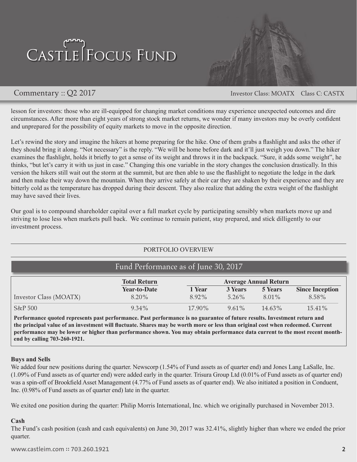

Commentary :: Q2 2017 Commentary :: Q2 2017

lesson for investors: those who are ill-equipped for changing market conditions may experience unexpected outcomes and dire circumstances. After more than eight years of strong stock market returns, we wonder if many investors may be overly confident and unprepared for the possibility of equity markets to move in the opposite direction.

Let's rewind the story and imagine the hikers at home preparing for the hike. One of them grabs a flashlight and asks the other if they should bring it along. "Not necessary" is the reply. "We will be home before dark and it'll just weigh you down." The hiker examines the flashlight, holds it briefly to get a sense of its weight and throws it in the backpack. "Sure, it adds some weight", he thinks, "but let's carry it with us just in case." Changing this one variable in the story changes the conclusion drastically. In this version the hikers still wait out the storm at the summit, but are then able to use the flashlight to negotiate the ledge in the dark and then make their way down the mountain. When they arrive safely at their car they are shaken by their experience and they are bitterly cold as the temperature has dropped during their descent. They also realize that adding the extra weight of the flashlight may have saved their lives.

Our goal is to compound shareholder capital over a full market cycle by participating sensibly when markets move up and striving to lose less when markets pull back. We continue to remain patient, stay prepared, and stick dilligently to our investment process.

## PORTFOLIO OVERVIEW

|                        | <b>Total Return</b> | <b>Average Annual Return</b> |          |                |                        |
|------------------------|---------------------|------------------------------|----------|----------------|------------------------|
|                        | <b>Year-to-Date</b> | 1 Year                       | 3 Years  | <b>5 Years</b> | <b>Since Inception</b> |
| Investor Class (MOATX) | 8.20%               | 8.92%                        | $5.26\%$ | $8.01\%$       | 8.58%                  |
| S&P500                 | $9.34\%$            | $17.90\%$                    | $9.61\%$ | 14.63%         | $15.41\%$              |

**Performance quoted represents past performance. Past performance is no guarantee of future results. Investment return and the principal value of an investment will fluctuate. Shares may be worth more or less than original cost when redeemed. Current performance may be lower or higher than performance shown. You may obtain performance data current to the most recent monthend by calling 703-260-1921.** 

### **Buys and Sells**

We added four new positions during the quarter. Newscorp (1.54% of Fund assets as of quarter end) and Jones Lang LaSalle, Inc. (1.09% of Fund assets as of quarter end) were added early in the quarter. Trisura Group Ltd (0.01% of Fund assets as of quarter end) was a spin-off of Brookfield Asset Management (4.77% of Fund assets as of quarter end). We also initiated a position in Conduent, Inc. (0.98% of Fund assets as of quarter end) late in the quarter.

We exited one position during the quarter: Philip Morris International, Inc. which we originally purchased in November 2013.

### **Cash**

The Fund's cash position (cash and cash equivalents) on June 30, 2017 was 32.41%, slightly higher than where we ended the prior quarter.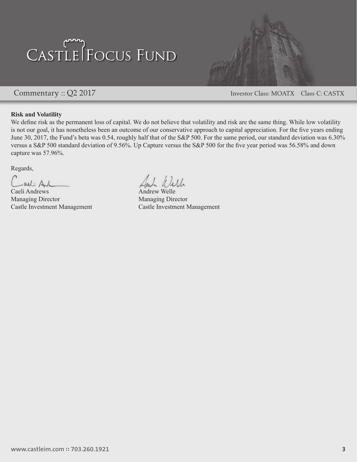

Commentary :: Q2 2017 Commentary :: Q2 2017

### **Risk and Volatility**

We define risk as the permanent loss of capital. We do not believe that volatility and risk are the same thing. While low volatility is not our goal, it has nonetheless been an outcome of our conservative approach to capital appreciation. For the five years ending June 30, 2017, the Fund's beta was 0.54, roughly half that of the S&P 500. For the same period, our standard deviation was 6.30% versus a S&P 500 standard deviation of 9.56%. Up Capture versus the S&P 500 for the five year period was 56.58% and down capture was 57.96%.

Regards,

-all: Ah

Caeli Andrews Managing Director Managing Director

Inde Will

Castle Investment Management Castle Investment Management